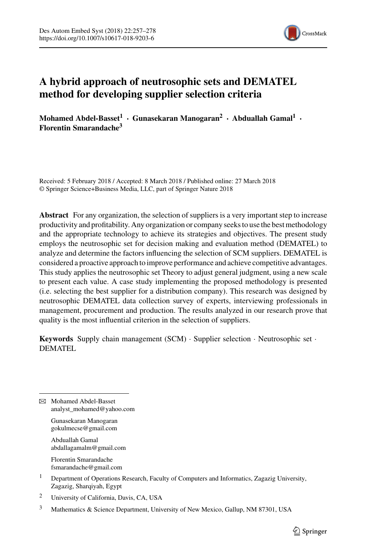

# **A hybrid approach of neutrosophic sets and DEMATEL method for developing supplier selection criteria**

**Mohamed Abdel-Basset<sup>1</sup> · Gunasekaran Manogaran2 · Abduallah Gamal1 · Florentin Smarandache3**

Received: 5 February 2018 / Accepted: 8 March 2018 / Published online: 27 March 2018 © Springer Science+Business Media, LLC, part of Springer Nature 2018

**Abstract** For any organization, the selection of suppliers is a very important step to increase productivity and profitability. Any organization or company seeks to use the best methodology and the appropriate technology to achieve its strategies and objectives. The present study employs the neutrosophic set for decision making and evaluation method (DEMATEL) to analyze and determine the factors influencing the selection of SCM suppliers. DEMATEL is considered a proactive approach to improve performance and achieve competitive advantages. This study applies the neutrosophic set Theory to adjust general judgment, using a new scale to present each value. A case study implementing the proposed methodology is presented (i.e. selecting the best supplier for a distribution company). This research was designed by neutrosophic DEMATEL data collection survey of experts, interviewing professionals in management, procurement and production. The results analyzed in our research prove that quality is the most influential criterion in the selection of suppliers.

**Keywords** Supply chain management (SCM) · Supplier selection · Neutrosophic set · DEMATEL

B Mohamed Abdel-Basset analyst\_mohamed@yahoo.com

> Gunasekaran Manogaran gokulmecse@gmail.com

Abduallah Gamal abdallagamalm@gmail.com

Florentin Smarandache fsmarandache@gmail.com

- <sup>1</sup> Department of Operations Research, Faculty of Computers and Informatics, Zagazig University, Zagazig, Sharqiyah, Egypt
- <sup>2</sup> University of California, Davis, CA, USA
- <sup>3</sup> Mathematics & Science Department, University of New Mexico, Gallup, NM 87301, USA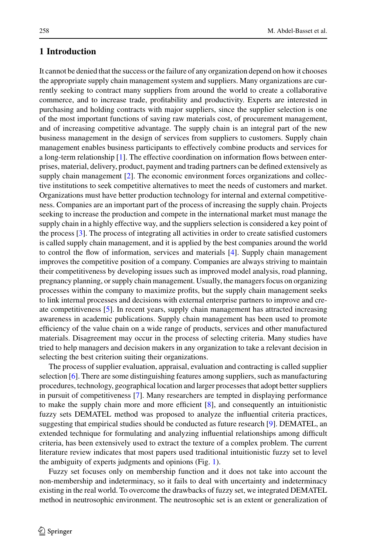It cannot be denied that the success or the failure of any organization depend on how it chooses the appropriate supply chain management system and suppliers. Many organizations are currently seeking to contract many suppliers from around the world to create a collaborative commerce, and to increase trade, profitability and productivity. Experts are interested in purchasing and holding contracts with major suppliers, since the supplier selection is one of the most important functions of saving raw materials cost, of procurement management, and of increasing competitive advantage. The supply chain is an integral part of the new business management in the design of services from suppliers to customers. Supply chain management enables business participants to effectively combine products and services for a long-term relationship [\[1\]](#page-20-0). The effective coordination on information flows between enterprises, material, delivery, product, payment and trading partners can be defined extensively as supply chain management [\[2\]](#page-20-1). The economic environment forces organizations and collective institutions to seek competitive alternatives to meet the needs of customers and market. Organizations must have better production technology for internal and external competitiveness. Companies are an important part of the process of increasing the supply chain. Projects seeking to increase the production and compete in the international market must manage the supply chain in a highly effective way, and the suppliers selection is considered a key point of the process [\[3\]](#page-20-2). The process of integrating all activities in order to create satisfied customers is called supply chain management, and it is applied by the best companies around the world to control the flow of information, services and materials [\[4\]](#page-20-3). Supply chain management improves the competitive position of a company. Companies are always striving to maintain their competitiveness by developing issues such as improved model analysis, road planning, pregnancy planning, or supply chain management. Usually, the managers focus on organizing processes within the company to maximize profits, but the supply chain management seeks to link internal processes and decisions with external enterprise partners to improve and create competitiveness [\[5\]](#page-20-4). In recent years, supply chain management has attracted increasing awareness in academic publications. Supply chain management has been used to promote efficiency of the value chain on a wide range of products, services and other manufactured materials. Disagreement may occur in the process of selecting criteria. Many studies have tried to help managers and decision makers in any organization to take a relevant decision in selecting the best criterion suiting their organizations.

The process of supplier evaluation, appraisal, evaluation and contracting is called supplier selection [\[6\]](#page-20-5). There are some distinguishing features among suppliers, such as manufacturing procedures, technology, geographical location and larger processes that adopt better suppliers in pursuit of competitiveness [\[7\]](#page-20-6). Many researchers are tempted in displaying performance to make the supply chain more and more efficient [\[8\]](#page-20-7), and consequently an intuitionistic fuzzy sets DEMATEL method was proposed to analyze the influential criteria practices, suggesting that empirical studies should be conducted as future research [\[9\]](#page-20-8). DEMATEL, an extended technique for formulating and analyzing influential relationships among difficult criteria, has been extensively used to extract the texture of a complex problem. The current literature review indicates that most papers used traditional intuitionistic fuzzy set to level the ambiguity of experts judgments and opinions (Fig. [1\)](#page-2-0).

Fuzzy set focuses only on membership function and it does not take into account the non-membership and indeterminacy, so it fails to deal with uncertainty and indeterminacy existing in the real world. To overcome the drawbacks of fuzzy set, we integrated DEMATEL method in neutrosophic environment. The neutrosophic set is an extent or generalization of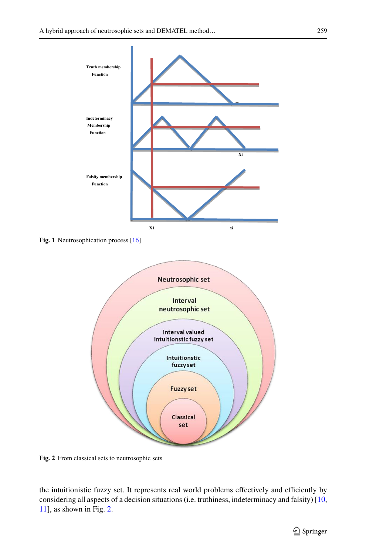

<span id="page-2-0"></span>**Fig. 1** Neutrosophication process [\[16\]](#page-21-0)



<span id="page-2-1"></span>**Fig. 2** From classical sets to neutrosophic sets

the intuitionistic fuzzy set. It represents real world problems effectively and efficiently by considering all aspects of a decision situations (i.e. truthiness, indeterminacy and falsity) [\[10,](#page-20-9) [11\]](#page-21-1), as shown in Fig. [2.](#page-2-1)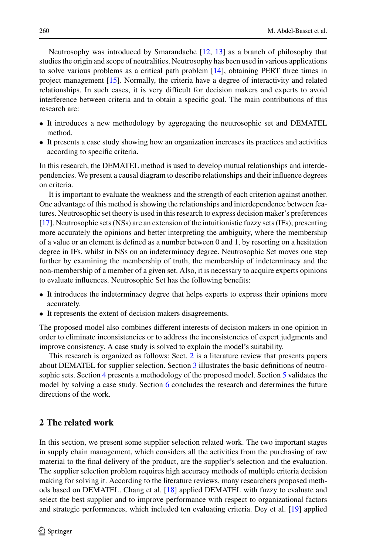Neutrosophy was introduced by Smarandache [\[12,](#page-21-2) [13\]](#page-21-3) as a branch of philosophy that studies the origin and scope of neutralities. Neutrosophy has been used in various applications to solve various problems as a critical path problem [\[14\]](#page-21-4), obtaining PERT three times in project management [\[15\]](#page-21-5). Normally, the criteria have a degree of interactivity and related relationships. In such cases, it is very difficult for decision makers and experts to avoid interference between criteria and to obtain a specific goal. The main contributions of this research are:

- It introduces a new methodology by aggregating the neutrosophic set and DEMATEL method.
- It presents a case study showing how an organization increases its practices and activities according to specific criteria.

In this research, the DEMATEL method is used to develop mutual relationships and interdependencies. We present a causal diagram to describe relationships and their influence degrees on criteria.

It is important to evaluate the weakness and the strength of each criterion against another. One advantage of this method is showing the relationships and interdependence between features. Neutrosophic set theory is used in this research to express decision maker's preferences [\[17\]](#page-21-6). Neutrosophic sets (NSs) are an extension of the intuitionistic fuzzy sets (IFs), presenting more accurately the opinions and better interpreting the ambiguity, where the membership of a value or an element is defined as a number between 0 and 1, by resorting on a hesitation degree in IFs, whilst in NSs on an indeterminacy degree. Neutrosophic Set moves one step further by examining the membership of truth, the membership of indeterminacy and the non-membership of a member of a given set. Also, it is necessary to acquire experts opinions to evaluate influences. Neutrosophic Set has the following benefits:

- It introduces the indeterminacy degree that helps experts to express their opinions more accurately.
- It represents the extent of decision makers disagreements.

The proposed model also combines different interests of decision makers in one opinion in order to eliminate inconsistencies or to address the inconsistencies of expert judgments and improve consistency. A case study is solved to explain the model's suitability.

This research is organized as follows: Sect. [2](#page-3-0) is a literature review that presents papers about DEMATEL for supplier selection. Section [3](#page-4-0) illustrates the basic definitions of neutro-sophic sets. Section [4](#page-6-0) presents a methodology of the proposed model. Section [5](#page-8-0) validates the model by solving a case study. Section [6](#page-20-10) concludes the research and determines the future directions of the work.

### <span id="page-3-0"></span>**2 The related work**

In this section, we present some supplier selection related work. The two important stages in supply chain management, which considers all the activities from the purchasing of raw material to the final delivery of the product, are the supplier's selection and the evaluation. The supplier selection problem requires high accuracy methods of multiple criteria decision making for solving it. According to the literature reviews, many researchers proposed methods based on DEMATEL. Chang et al. [\[18\]](#page-21-7) applied DEMATEL with fuzzy to evaluate and select the best supplier and to improve performance with respect to organizational factors and strategic performances, which included ten evaluating criteria. Dey et al. [\[19\]](#page-21-8) applied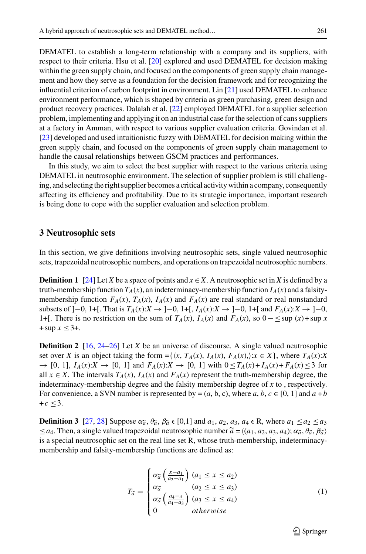DEMATEL to establish a long-term relationship with a company and its suppliers, with respect to their criteria. Hsu et al. [\[20\]](#page-21-9) explored and used DEMATEL for decision making within the green supply chain, and focused on the components of green supply chain management and how they serve as a foundation for the decision framework and for recognizing the influential criterion of carbon footprint in environment. Lin [\[21\]](#page-21-10) used DEMATEL to enhance environment performance, which is shaped by criteria as green purchasing, green design and product recovery practices. Dalalah et al. [\[22\]](#page-21-11) employed DEMATEL for a supplier selection problem, implementing and applying it on an industrial case for the selection of cans suppliers at a factory in Amman, with respect to various supplier evaluation criteria. Govindan et al. [\[23\]](#page-21-12) developed and used intuitionistic fuzzy with DEMATEL for decision making within the green supply chain, and focused on the components of green supply chain management to handle the causal relationships between GSCM practices and performances.

In this study, we aim to select the best supplier with respect to the various criteria using DEMATEL in neutrosophic environment. The selection of supplier problem is still challenging, and selecting the right supplier becomes a critical activity within a company, consequently affecting its efficiency and profitability. Due to its strategic importance, important research is being done to cope with the supplier evaluation and selection problem.

### <span id="page-4-0"></span>**3 Neutrosophic sets**

In this section, we give definitions involving neutrosophic sets, single valued neutrosophic sets, trapezoidal neutrosophic numbers, and operations on trapezoidal neutrosophic numbers.

**Definition 1** [\[24\]](#page-21-13) Let *X* be a space of points and  $x \in X$ . A neutrosophic set in *X* is defined by a truth-membership function  $T_A(x)$ , an indeterminacy-membership function  $I_A(x)$  and a falsitymembership function  $F_A(x)$ ,  $T_A(x)$ ,  $I_A(x)$  and  $F_A(x)$  are real standard or real nonstandard subsets of  $]-0$ , 1+[. That is  $T_A(x):X \to ]-0$ , 1+[,  $I_A(x):X \to ]-0$ , 1+[ and  $F_A(x):X \to ]-0$ , 1+[. There is no restriction on the sum of  $T_A(x)$ ,  $I_A(x)$  and  $F_A(x)$ , so  $0 - \le \sup(x) + \sup x$  $+$ sup  $x \le 3+$ .

**Definition 2** [\[16,](#page-21-0) [24](#page-21-13)[–26\]](#page-21-14) Let *X* be an universe of discourse. A single valued neutrosophic set over *X* is an object taking the form ={ $\{x, T_A(x), I_A(x), F_A(x)\}$ : $x \in X$ }, where  $T_A(x):X$ → [0, 1],  $I_A(x): X \to [0, 1]$  and  $F_A(x): X \to [0, 1]$  with  $0 \le T_A(x) + I_A(x) + F_A(x) \le 3$  for all  $x \in X$ . The intervals  $T_A(x)$ ,  $I_A(x)$  and  $F_A(x)$  represent the truth-membership degree, the indeterminacy-membership degree and the falsity membership degree of *x* to , respectively. For convenience, a SVN number is represented by =  $(a, b, c)$ , where  $a, b, c \in [0, 1]$  and  $a + b$  $+c \leq 3$ . **Definition 3** [\[27,](#page-21-15) [28\]](#page-21-16) Suppose α<sub> $\tilde{a}$ </sub>,  $\theta_{\tilde{a}}$ ,  $\beta_{\tilde{a}}$  ∈ [0,1] and *a*<sub>1</sub>, *a*<sub>2</sub>, *a*<sub>3</sub>, *a*<sub>4</sub> ∈ R, where *a*<sub>1</sub> ≤ *a*<sub>2</sub> ≤ *a*<sub>3</sub>

 $+ c \leq 3$ .<br> **Definition 3** [27, 28] Suppose α<sub>α</sub> θ<sub>α</sub>, β<sub>α</sub> ε [0,1] and  $a_1$ ,  $a_2$ ,  $a_3$ ,  $a_4$  ε R, where  $a_1 \leq a_2 \leq a$ <br>  $\leq a_4$ . Then, a single valued trapezoidal neutrosophic number  $\tilde{a} = \langle (a_1, a_2, a_3, a_4); \$ bidal neutrosophic number  $a = \langle (a_1, a_2, a_3, a_4), \alpha_{\tilde{a}}, \theta_{\tilde{a}}, \beta_{\tilde{a}} \rangle$  $\leq a_4$ . Then, a single valued diapezondal neutrosophic number  $a = \langle a_1, a_2, a_3, a_4 \rangle$ ,  $a_a, a_a, a_b$ ,  $a_a, a_b$ is a special neutrosophic set on the real line set R, whose truth<br>membership and falsity-membership functions are defined as:

$$
T_{\widetilde{a}} = \begin{cases} \alpha_{\widetilde{a}} \left( \frac{x - a_1}{a_2 - a_1} \right) (a_1 \le x \le a_2) \\ \alpha_{\widetilde{a}} & (a_2 \le x \le a_3) \\ \alpha_{\widetilde{a}} \left( \frac{a_4 - x}{a_4 - a_3} \right) (a_3 \le x \le a_4) \\ 0 & otherwise \end{cases} \tag{1}
$$

 $\circled{2}$  Springer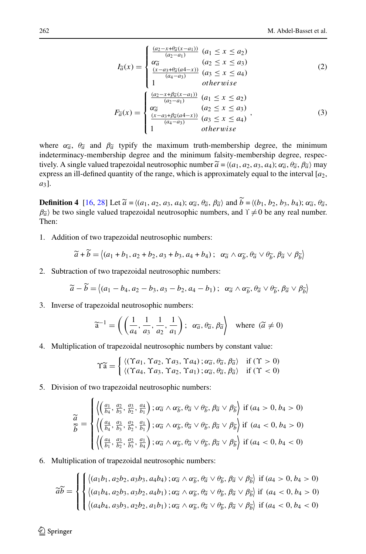M. Abdel-Basset et al.  
\n
$$
I_{\tilde{a}}(x) = \begin{cases}\n\frac{(a_2 - x + \theta_{\tilde{a}}(x - a_1))}{(a_2 - a_1)} & (a_1 \le x \le a_2) \\
\frac{\alpha_{\tilde{a}}^{\alpha}}{(a_2 - a_1)} & (a_2 \le x \le a_3) \\
\frac{(x - a_3 + \theta_{\tilde{a}}(a_4 - x))}{(a_4 - a_3)} & (a_3 \le x \le a_4) \\
1 & \text{otherwise}\n\end{cases}
$$
\n(2)  
\n
$$
F_{\tilde{a}}(x) = \begin{cases}\n\frac{(a_2 - x + \beta_{\tilde{a}}(x - a_1))}{(a_2 - a_1)} & (a_1 \le x \le a_2) \\
\frac{(\alpha_{\tilde{a}}^{\alpha} - a_1)}{(a_2 - a_1)} & (a_2 \le x \le a_3) \\
\frac{(x - a_3 + \beta_{\tilde{a}}(a_4 - x))}{(a_4 - a_3)} & (a_3 \le x \le a_4) \\
1 & \text{otherwise}\n\end{cases}
$$
\n(3)  
\nwhere  $\alpha_{\tilde{a}}$ ,  $\theta_{\tilde{a}}$  and  $\beta_{\tilde{a}}$  typify the maximum truth-membreship degree, the minimum

indeterminacy-membership degree and the minimum falsity-membership degree, respecwhere  $\alpha_{\tilde{a}}$ ,  $\theta_{\tilde{a}}$  and  $\beta_{\tilde{a}}$  typify the maximum truth-membership degree, the minimeterminacy-membership degree and the minimum falsity-membership degree, retively. A single valued trapezoidal neutrosophi tively. A single valued trapezoidal neutrosophic number  $\tilde{a} = \langle (a_1, a_2, a_3, a_4) ; \alpha_a^2, \theta_a^2, \theta_a^2 \rangle$  may express an ill-defined quantity of the range, which is approximately equal to the interval [*a*2, *a*3]. **Express an ill-defined quantity of the range, which is approximately equal to the interval [***a***<sub>2</sub>,** *a***<sub>3</sub>].<br>
<b>Definition 4** [\[16,](#page-21-0) [28\]](#page-21-16) Let  $\tilde{a} = \langle (a_1, a_2, a_3, a_4) ; \alpha_{\tilde{a}}, \theta_{\tilde{a}}, \beta_{\tilde{a}} \rangle$  and  $\tilde{b} = \langle (b_1, b_2$ 

**De**<br> $\beta_{\widetilde{a}}$  $\hat{a}$  be two single valued trapezoidal neutrosophic numbers, and  $\hat{I} \neq 0$  be any real number.<br>hen: Then: *a* +  $\widetilde{b}$  =  $\langle (a_1 + b_1, a_2 + b_2, a_3 + b_3, a_4 + b_4) ; \alpha_{\widetilde{a}} \rangle$ 

1. Addition of two trapezoidal neutrosophic numbers:

ion of two trapezoidal neutrosophic numbers:  
\n
$$
\widetilde{a} + \widetilde{b} = \langle (a_1 + b_1, a_2 + b_2, a_3 + b_3, a_4 + b_4); \alpha_{\widetilde{a}} \wedge \alpha_{\widetilde{b}}, \theta_{\widetilde{a}} \vee \theta_{\widetilde{b}}, \beta_{\widetilde{a}} \vee \theta_{\widetilde{b}} \rangle
$$

2. Subtraction of two trapezoidal neutrosophic numbers:

$$
\widetilde{a} + \widetilde{b} = \langle (a_1 + b_1, a_2 + b_2, a_3 + b_3, a_4 + b_4); \alpha_{\widetilde{a}} \wedge \alpha_{\widetilde{b}}, \theta_{\widetilde{a}} \vee \theta_{\widetilde{b}}, \beta_{\widetilde{a}} \vee \beta_{\widetilde{b}} \rangle
$$
\naction of two trapezoidal neutrosophic numbers:  
\n
$$
\widetilde{a} - \widetilde{b} = \langle (a_1 - b_4, a_2 - b_3, a_3 - b_2, a_4 - b_1); \alpha_{\widetilde{a}} \wedge \alpha_{\widetilde{b}}, \theta_{\widetilde{a}} \vee \theta_{\widetilde{b}}, \beta_{\widetilde{a}} \vee \beta_{\widetilde{b}} \rangle
$$

3. Inverse of trapezoidal neutrosophic numbers:  
\n
$$
\widetilde{a}^{-1} = \left( \left( \frac{1}{a_4}, \frac{1}{a_3}, \frac{1}{a_2}, \frac{1}{a_1} \right); \alpha_{\widetilde{a}}, \theta_{\widetilde{a}}, \beta_{\widetilde{a}} \right) \text{ where } (\widetilde{a} \neq 0)
$$

4. Multiplication of trapezoidal neutrosophic numbers by constant value:

of trapezoidal neutrosophic numbers by constant value:  
\n
$$
\Upsilon \widetilde{a} = \begin{cases}\n\langle (\Upsilon a_1, \Upsilon a_2, \Upsilon a_3, \Upsilon a_4); \alpha_{\widetilde{a}}, \theta_{\widetilde{a}}, \theta_{\widetilde{a}} \rangle & \text{if } (\Upsilon > 0) \\
\langle (\Upsilon a_4, \Upsilon a_3, \Upsilon a_2, \Upsilon a_1); \alpha_{\widetilde{a}}, \theta_{\widetilde{a}}, \theta_{\widetilde{a}} \rangle & \text{if } (\Upsilon < 0)\n\end{cases}
$$

 $\left\{ \left( \int (Ta_4, \Upsilon a_3, \Upsilon a_2, \Upsilon a_1) \right) : \alpha_6 \right\}$ <br>5. Division of two trapezoidal neutrosophic numbers:

on of two trapezoidal neutrosophic numbers:  
\n
$$
\tilde{a} = \begin{cases}\n\left\langle \left(\frac{a_1}{b_4}, \frac{a_2}{b_3}, \frac{a_3}{b_2}, \frac{a_4}{b_1}\right); \alpha_{\tilde{a}} \wedge \alpha_{\tilde{b}}, \theta_{\tilde{a}} \vee \theta_{\tilde{b}}, \beta_{\tilde{a}} \vee \beta_{\tilde{b}}\right\rangle \text{ if } (a_4 > 0, b_4 > 0) \\
\frac{\tilde{a}}{\tilde{b}} = \begin{cases}\n\left\langle \left(\frac{a_4}{b_4}, \frac{a_3}{b_3}, \frac{a_2}{b_2}, \frac{a_1}{b_1}\right); \alpha_{\tilde{a}} \wedge \alpha_{\tilde{b}}, \theta_{\tilde{a}} \vee \theta_{\tilde{b}}, \beta_{\tilde{a}} \vee \beta_{\tilde{b}}\right\rangle \text{ if } (a_4 < 0, b_4 > 0) \\
\left\langle \left(\frac{a_4}{b_1}, \frac{a_3}{b_2}, \frac{a_2}{b_3}, \frac{a_1}{b_4}\right); \alpha_{\tilde{a}} \wedge \alpha_{\tilde{b}}, \theta_{\tilde{a}} \vee \theta_{\tilde{b}}, \beta_{\tilde{a}} \vee \beta_{\tilde{b}}\right\rangle \text{ if } (a_4 < 0, b_4 < 0)\n\end{cases}
$$

⎪⎪⎩⎪⎪⎩

6. Multiplication of trapezoidal neutrosophic numbers:  
\n
$$
\widetilde{ab} = \begin{cases}\n\left\{ (a_1b_1, a_2b_2, a_3b_3, a_4b_4) ; \alpha_{\widetilde{a}} \wedge \alpha_{\widetilde{b}}, \theta_{\widetilde{a}} \vee \theta_{\widetilde{b}}, \beta_{\widetilde{a}} \vee \beta_{\widetilde{b}} \right\} \text{ if } (a_4 > 0, b_4 > 0) \\
\left\{ (a_1b_4, a_2b_3, a_3b_2, a_4b_1) ; \alpha_{\widetilde{a}} \wedge \alpha_{\widetilde{b}}, \theta_{\widetilde{a}} \vee \theta_{\widetilde{b}}, \beta_{\widetilde{a}} \vee \beta_{\widetilde{b}} \right\} \text{ if } (a_4 < 0, b_4 > 0) \\
\left\{ (a_4b_4, a_3b_3, a_2b_2, a_1b_1) ; \alpha_{\widetilde{a}} \wedge \alpha_{\widetilde{b}}, \theta_{\widetilde{a}} \vee \theta_{\widetilde{b}}, \beta_{\widetilde{a}} \vee \beta_{\widetilde{b}} \right\} \text{ if } (a_4 < 0, b_4 < 0)\n\end{cases}
$$

 $\bigcirc$  Springer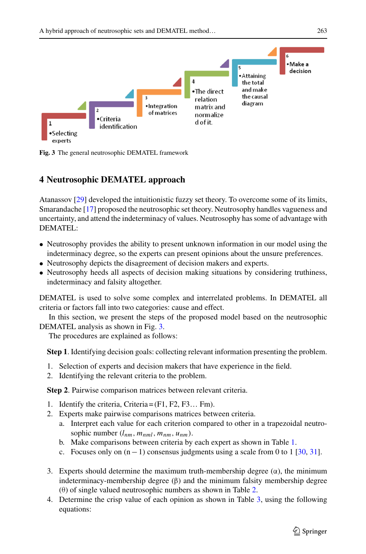

<span id="page-6-1"></span>**Fig. 3** The general neutrosophic DEMATEL framework

# <span id="page-6-0"></span>**4 Neutrosophic DEMATEL approach**

Atanassov [\[29\]](#page-21-17) developed the intuitionistic fuzzy set theory. To overcome some of its limits, Smarandache [\[17\]](#page-21-6) proposed the neutrosophic set theory. Neutrosophy handles vagueness and uncertainty, and attend the indeterminacy of values. Neutrosophy has some of advantage with DEMATEL:

- Neutrosophy provides the ability to present unknown information in our model using the indeterminacy degree, so the experts can present opinions about the unsure preferences.
- Neutrosophy depicts the disagreement of decision makers and experts.
- Neutrosophy heeds all aspects of decision making situations by considering truthiness, indeterminacy and falsity altogether.

DEMATEL is used to solve some complex and interrelated problems. In DEMATEL all criteria or factors fall into two categories: cause and effect.

In this section, we present the steps of the proposed model based on the neutrosophic DEMATEL analysis as shown in Fig. [3.](#page-6-1)

The procedures are explained as follows:

**Step 1**. Identifying decision goals: collecting relevant information presenting the problem.

- 1. Selection of experts and decision makers that have experience in the field.
- 2. Identifying the relevant criteria to the problem.

**Step 2**. Pairwise comparison matrices between relevant criteria.

- 1. Identify the criteria, Criteria = (F1, F2, F3... Fm).
- 2. Experts make pairwise comparisons matrices between criteria.
	- a. Interpret each value for each criterion compared to other in a trapezoidal neutrosophic number  $(l_{nm}, m_{nml}, m_{nm}, u_{nm})$ .
	- b. Make comparisons between criteria by each expert as shown in Table [1.](#page-7-0)
	- c. Focuses only on  $(n-1)$  consensus judgments using a scale from 0 to 1 [\[30,](#page-21-18) [31\]](#page-21-19).
- 3. Experts should determine the maximum truth-membership degree  $(\alpha)$ , the minimum indeterminacy-membership degree  $(\beta)$  and the minimum falsity membership degree (θ) of single valued neutrosophic numbers as shown in Table [2.](#page-7-1)
- 4. Determine the crisp value of each opinion as shown in Table [3,](#page-7-2) using the following equations: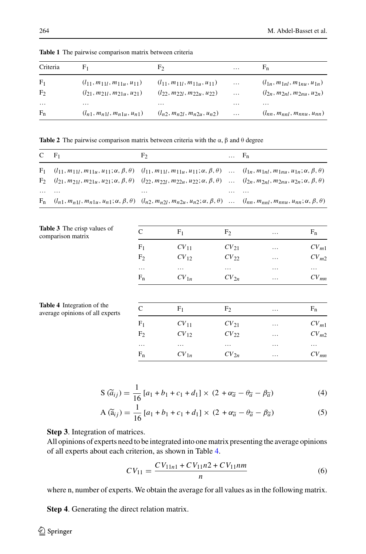| Criteria       | F <sub>1</sub>                       | F <sub>2</sub>                       | $\cdots$ | $F_n$                                |
|----------------|--------------------------------------|--------------------------------------|----------|--------------------------------------|
| F <sub>1</sub> | $(l_{11}, m_{11l}, m_{11u}, u_{11})$ | $(l_{11}, m_{11l}, m_{11u}, u_{11})$ | $\cdots$ | $(l_{1n}, m_{1nl}, m_{1nu}, u_{1n})$ |
| F <sub>2</sub> | $(l_{21}, m_{21l}, m_{21u}, u_{21})$ | $(l_{22}, m_{22l}, m_{22u}, u_{22})$ | $\cdots$ | $(l_{2n}, m_{2nl}, m_{2nu}, u_{2n})$ |
| $\cdots$       | .                                    | $\cdots$                             | $\cdots$ | $\cdots$                             |
| $F_n$          | $(l_{n1}, m_{n1l}, m_{n1u}, u_{n1})$ | $(l_n, m_n, m_n, m_{n-1}, u_n)$      | $\cdots$ | $(l_{nn}, m_{nnl}, m_{nnu}, u_{nn})$ |

<span id="page-7-0"></span>**Table 1** The pairwise comparison matrix between criteria

**Table 2** The pairwise comparison matrix between criteria with the  $\alpha$ ,  $\beta$  and  $\theta$  degree

<span id="page-7-1"></span>

| $C \t F_1$ |                                                                                                                                                                                                                                                                                                                                                                                        | F <sub>2</sub> | $\ldots$ $F_n$ |          |
|------------|----------------------------------------------------------------------------------------------------------------------------------------------------------------------------------------------------------------------------------------------------------------------------------------------------------------------------------------------------------------------------------------|----------------|----------------|----------|
|            | $F_1$ $(l_{11}, m_{11l}, m_{11u}, u_{11}; \alpha, \beta, \theta)$ $(l_{11}, m_{11l}, m_{11u}, u_{11}; \alpha, \beta, \theta)$ $(l_{1n}, m_{1nl}, m_{1nu}, u_{1n}; \alpha, \beta, \theta)$<br>$F_2$ $(l_{21}, m_{21l}, m_{21u}, u_{21}; \alpha, \beta, \theta)$ $(l_{22}, m_{22l}, m_{22u}, u_{22}; \alpha, \beta, \theta)$ $(l_{2n}, m_{2nl}, m_{2nu}, u_{2n}; \alpha, \beta, \theta)$ |                |                |          |
| $\cdots$   | .<br>$F_n$ $(l_{n1}, m_{n1l}, m_{n1u}, u_{n1}; \alpha, \beta, \theta)$ $(l_{n2}, m_{n2l}, m_{n2u}, u_{n2}; \alpha, \beta, \theta)$ $(l_{nn}, m_{nnl}, m_{nnu}, u_{nn}; \alpha, \beta, \theta)$                                                                                                                                                                                         | $\cdots$       | .              | $\cdots$ |

<span id="page-7-2"></span>

| Table 3 The crisp values of<br>comparison matrix                     | C              | F <sub>1</sub>   | F <sub>2</sub>   | $\cdots$ | $F_n$     |
|----------------------------------------------------------------------|----------------|------------------|------------------|----------|-----------|
|                                                                      | F <sub>1</sub> | CV <sub>11</sub> | CV <sub>21</sub> | $\cdots$ | $CV_{m1}$ |
|                                                                      | F <sub>2</sub> | CV <sub>12</sub> | $CV_{22}$        | $\cdots$ | $CV_{m2}$ |
|                                                                      | $\cdots$       | $\cdots$         | $\cdots$         | $\cdots$ | $\cdots$  |
|                                                                      | $F_n$          | $CV_{1n}$        | $CV_{2n}$        | $\cdots$ | $CV_{mn}$ |
| <b>Table 4</b> Integration of the<br>average opinions of all experts | $\mathcal{C}$  | F <sub>1</sub>   | F <sub>2</sub>   | $\cdots$ | $F_n$     |
|                                                                      | F <sub>1</sub> | CV <sub>11</sub> | $CV_{21}$        | $\cdots$ | $CV_{m1}$ |
|                                                                      | F <sub>2</sub> | $CV_{12}$        | $CV_{22}$        | $\cdots$ | $CV_{m2}$ |
|                                                                      | $\cdots$       | $\cdots$         | $\cdots$         | $\cdots$ | $\cdots$  |
|                                                                      | $F_n$          | $CV_{1n}$        | $CV_{2n}$        | $\cdots$ | $CV_{mn}$ |

<span id="page-7-3"></span>
$$
S(\tilde{a}_{ij}) = \frac{1}{16} [a_1 + b_1 + c_1 + d_1] \times (2 + \alpha_{\tilde{a}} - \theta_{\tilde{a}} - \beta_{\tilde{a}})
$$
(4)  

$$
A(\tilde{a}_{ij}) = \frac{1}{16} [a_1 + b_1 + c_1 + d_1] \times (2 + \alpha_{\tilde{a}} - \theta_{\tilde{a}} - \beta_{\tilde{a}})
$$
(5)

$$
S(\tilde{a}_{ij}) = \frac{1}{16} [a_1 + b_1 + c_1 + d_1] \times (2 + \alpha \tilde{a} - \theta \tilde{a} - \beta \tilde{a})
$$
(4)  
A(\tilde{a}\_{ij}) =  $\frac{1}{16} [a_1 + b_1 + c_1 + d_1] \times (2 + \alpha \tilde{a} - \theta \tilde{a} - \beta \tilde{a})$ (5)

**Step 3**. Integration of matrices.

All opinions of experts need to be integrated into one matrix presenting the average opinions of all experts about each criterion, as shown in Table [4.](#page-7-3)

<span id="page-7-4"></span>
$$
CV_{11} = \frac{CV_{11n1} + CV_{11}n2 + CV_{11}nm}{n}
$$
 (6)

where n, number of experts. We obtain the average for all values as in the following matrix.

**Step 4**. Generating the direct relation matrix.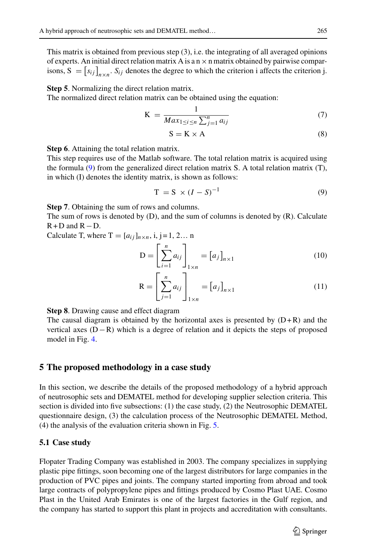This matrix is obtained from previous step (3), i.e. the integrating of all averaged opinions of experts. An initial direct relation matrix A is a  $n \times n$  matrix obtained by pairwise compar*shifter the intermal approach of neutrosophic sets and DEMATEL method...*<br> *Some this matrix is obtained from previous step (3), i.e. the integrating of all averaged opinions of experts. An initial direct relation matrix* 

**Step 5**. Normalizing the direct relation matrix.

The normalized direct relation matrix can be obtained using the equation:

$$
K = \frac{1}{Max_{1 \le i \le n} \sum_{j=1}^{n} a_{ij}} \tag{7}
$$

<span id="page-8-3"></span><span id="page-8-2"></span><span id="page-8-1"></span>
$$
S = K \times A \tag{8}
$$

**Step 6**. Attaining the total relation matrix.

This step requires use of the Matlab software. The total relation matrix is acquired using the formula [\(9\)](#page-8-1) from the generalized direct relation matrix S. A total relation matrix (T), in which (I) denotes the identity matrix, is shown as follows:

<span id="page-8-4"></span>
$$
T = S \times (I - S)^{-1}
$$
 (9)

**Step 7**. Obtaining the sum of rows and columns.

The sum of rows is denoted by (D), and the sum of columns is denoted by (R). Calculate R+D and R-D.<br>
Calculate T, where T =  $[a_{ij}]_{n \times n}$ , i, j = 1, 2... n<br>  $D = \left[\sum_{i=1}^{n} a_{ij}\right]_{n \times 1} = [a_{j}]_{n \times 1}$  (10)  $R + D$  and  $R - D$ . the :<br> $a_{ij}$ 

Calculate T, where  $T = [a_{ij}]_{n \times n}$ , i, j = 1, 2... n  $\blacksquare$ ,  $\blacksquare$ ,  $\ldots$ 

$$
D = \left[\sum_{i=1}^{n} a_{ij}\right]_{1 \times n} = \left[a_j\right]_{n \times 1}
$$
\n
$$
R = \left[\sum_{i=1}^{n} a_{ij}\right]_{n \times 1} = \left[a_j\right]_{n \times 1}
$$
\n(10)

<span id="page-8-5"></span>
$$
\mathbf{R} = \left[\sum_{j=1}^{n} a_{ij}\right]_{1 \times n} = \left[a_j\right]_{n \times 1} \tag{11}
$$

**Step 8**. Drawing cause and effect diagram

The causal diagram is obtained by the horizontal axes is presented by  $(D+R)$  and the vertical axes (D−R) which is a degree of relation and it depicts the steps of proposed model in Fig. [4.](#page-9-0)

### <span id="page-8-0"></span>**5 The proposed methodology in a case study**

In this section, we describe the details of the proposed methodology of a hybrid approach of neutrosophic sets and DEMATEL method for developing supplier selection criteria. This section is divided into five subsections: (1) the case study, (2) the Neutrosophic DEMATEL questionnaire design, (3) the calculation process of the Neutrosophic DEMATEL Method, (4) the analysis of the evaluation criteria shown in Fig. [5.](#page-10-0)

#### **5.1 Case study**

Flopater Trading Company was established in 2003. The company specializes in supplying plastic pipe fittings, soon becoming one of the largest distributors for large companies in the production of PVC pipes and joints. The company started importing from abroad and took large contracts of polypropylene pipes and fittings produced by Cosmo Plast UAE. Cosmo Plast in the United Arab Emirates is one of the largest factories in the Gulf region, and the company has started to support this plant in projects and accreditation with consultants.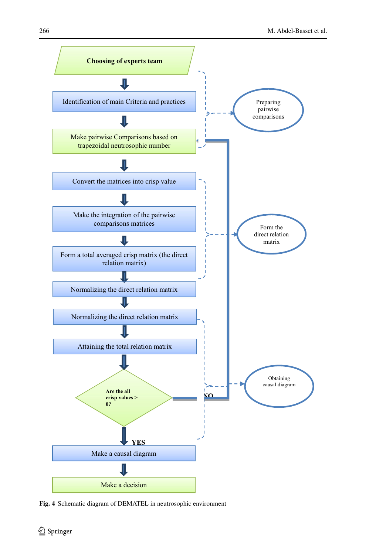

<span id="page-9-0"></span>**Fig. 4** Schematic diagram of DEMATEL in neutrosophic environment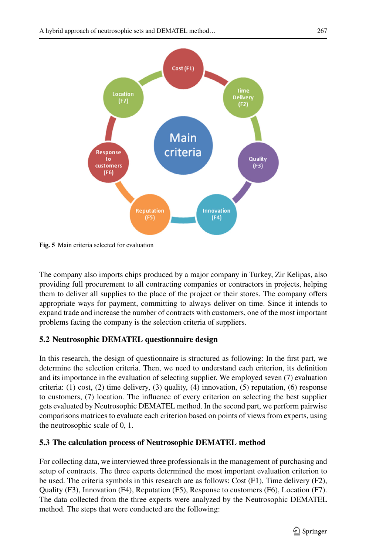

<span id="page-10-0"></span>**Fig. 5** Main criteria selected for evaluation

The company also imports chips produced by a major company in Turkey, Zir Kelipas, also providing full procurement to all contracting companies or contractors in projects, helping them to deliver all supplies to the place of the project or their stores. The company offers appropriate ways for payment, committing to always deliver on time. Since it intends to expand trade and increase the number of contracts with customers, one of the most important problems facing the company is the selection criteria of suppliers.

# **5.2 Neutrosophic DEMATEL questionnaire design**

In this research, the design of questionnaire is structured as following: In the first part, we determine the selection criteria. Then, we need to understand each criterion, its definition and its importance in the evaluation of selecting supplier. We employed seven (7) evaluation criteria:  $(1)$  cost,  $(2)$  time delivery,  $(3)$  quality,  $(4)$  innovation,  $(5)$  reputation,  $(6)$  response to customers, (7) location. The influence of every criterion on selecting the best supplier gets evaluated by Neutrosophic DEMATEL method. In the second part, we perform pairwise comparisons matrices to evaluate each criterion based on points of views from experts, using the neutrosophic scale of 0, 1.

# **5.3 The calculation process of Neutrosophic DEMATEL method**

For collecting data, we interviewed three professionals in the management of purchasing and setup of contracts. The three experts determined the most important evaluation criterion to be used. The criteria symbols in this research are as follows: Cost (F1), Time delivery (F2), Quality (F3), Innovation (F4), Reputation (F5), Response to customers (F6), Location (F7). The data collected from the three experts were analyzed by the Neutrosophic DEMATEL method. The steps that were conducted are the following: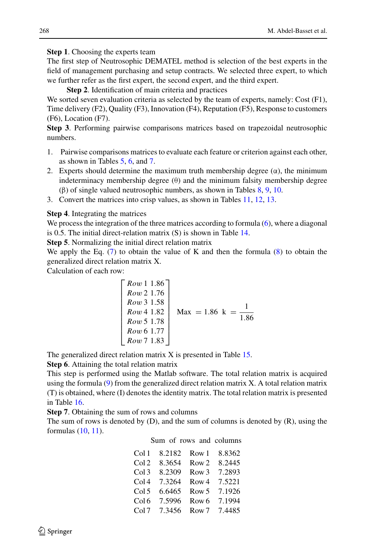**Step 1**. Choosing the experts team

The first step of Neutrosophic DEMATEL method is selection of the best experts in the field of management purchasing and setup contracts. We selected three expert, to which we further refer as the first expert, the second expert, and the third expert.

**Step 2**. Identification of main criteria and practices

We sorted seven evaluation criteria as selected by the team of experts, namely: Cost (F1), Time delivery (F2), Quality (F3), Innovation (F4), Reputation (F5), Response to customers (F6), Location (F7).

**Step 3**. Performing pairwise comparisons matrices based on trapezoidal neutrosophic numbers.

- 1. Pairwise comparisons matrices to evaluate each feature or criterion against each other, as shown in Tables [5,](#page-12-0) [6,](#page-13-0) and [7.](#page-14-0)
- 2. Experts should determine the maximum truth membership degree  $(\alpha)$ , the minimum indeterminacy membership degree  $(\theta)$  and the minimum falsity membership degree (β) of single valued neutrosophic numbers, as shown in Tables [8,](#page-15-0) [9,](#page-16-0) [10.](#page-17-0)
- 3. Convert the matrices into crisp values, as shown in Tables [11,](#page-18-0) [12,](#page-18-1) [13.](#page-18-2)

**Step 4**. Integrating the matrices

We process the integration of the three matrices according to formula [\(6\)](#page-7-4), where a diagonal is 0.5. The initial direct-relation matrix (S) is shown in Table [14.](#page-18-3)

**Step 5**. Normalizing the initial direct relation matrix

**Suep 5.** Normanzing the finite united relation matrix  $\mathbf{w}$  we apply the Eq. [\(7\)](#page-8-2) to obtain the value of K and then the formula [\(8\)](#page-8-3) to obtain the generalized direct relation matrix X.

Calculation of each row:

$$
\begin{bmatrix}\nRow 1 & 1.86 \\
Row 2 & 1.76 \\
Row 3 & 1.58 \\
Row 4 & 1.82 \\
Row 5 & 1.78 \\
Row 6 & 1.77 \\
Row 7 & 1.83\n\end{bmatrix}
$$
\n
$$
Max = 1.86 \text{ k} = \frac{1}{1.86}
$$

The generalized direct relation matrix X is presented in Table [15.](#page-19-0)

**Step 6**. Attaining the total relation matrix

This step is performed using the Matlab software. The total relation matrix is acquired using the formula  $(9)$  from the generalized direct relation matrix X. A total relation matrix (T) is obtained, where (I) denotes the identity matrix. The total relation matrix is presented in Table [16.](#page-19-1)

**Step 7**. Obtaining the sum of rows and columns

The sum of rows is denoted by (D), and the sum of columns is denoted by (R), using the formulas [\(10,](#page-8-4) [11\)](#page-8-5).

### Sum of rows and columns

| Col 1            | 8.2182 | Row 1            | 8.8362 |
|------------------|--------|------------------|--------|
| Col <sub>2</sub> | 8.3654 | Row <sub>2</sub> | 8.2445 |
| Col3             | 8.2309 | Row <sub>3</sub> | 7.2893 |
| Col4             | 7.3264 | Row 4            | 7.5221 |
| Col <sub>5</sub> | 6.6465 | Row <sub>5</sub> | 7.1926 |
| Col6             | 7.5996 | Row <sub>6</sub> | 7.1994 |
| Col7             | 7.3456 | Row <sub>7</sub> | 7.4485 |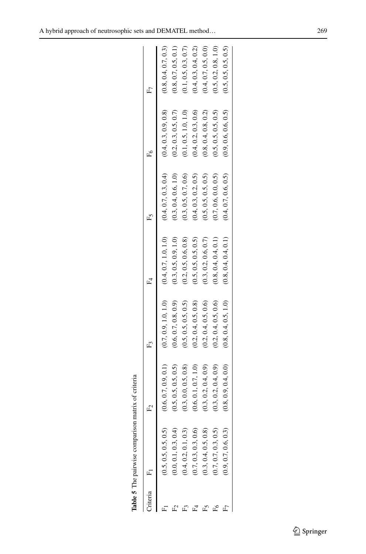<span id="page-12-0"></span>

| riteria | Ĺ,                   |                      |                      |                      | ľ                    |                      | م<br>تم                |
|---------|----------------------|----------------------|----------------------|----------------------|----------------------|----------------------|------------------------|
|         | (0.5, 0.5, 0.5, 0.5) | (0.6, 0.7, 0.9, 0.1) | (0.7, 0.9, 1.0, 1.0) | (0.4, 0.7, 1.0, 1.0) | (0.4, 0.7, 0.3, 0.4) | (0.4, 0.3, 0.9, 0.8) | (0.8, 0.4, 0.7, 0.3)   |
|         | (0.0, 0.1, 0.3, 0.4) | (0.5, 0.5, 0.5, 0.5) | (0.6, 0.7, 0.8, 0.9) | (0.3, 0.5, 0.9, 1.0) | (0.3, 0.4, 0.6, 1.0) | (0.2, 0.3, 0.5, 0.7) | (0.8, 0.7, 0.5, 0.1)   |
|         | 0.4, 0.2, 0.1, 0.3)  | (0.3, 0.0, 0.5, 0.8) | (0.5, 0.5, 0.5, 0.5) | (0.2, 0.5, 0.6, 0.8) | (0.3, 0.5, 0.7, 0.6) | (0.1, 0.5, 1.0, 1.0) | $(0.1, 0.5, 0.3, 0.7)$ |
|         | (0.7, 0.3, 0.3, 0.6) | (0.6, 0.1, 0.7, 1.0) | (0.2, 0.4, 0.5, 0.8) | (0.5, 0.5, 0.5, 0.5) | (0.4, 0.3, 0.2, 0.5) | (0.4, 0.2, 0.3, 0.6) | (0.4, 0.3, 0.4, 0.2)   |
|         | (0.3, 0.4, 0.5, 0.8) | (0.3, 0.2, 0.4, 0.9) | (0.2, 0.4, 0.5, 0.6) | (0.3, 0.2, 0.6, 0.7) | (0.5, 0.5, 0.5, 0.5) | (0.8, 0.4, 0.8, 0.2) | (0.4, 0.7, 0.5, 0.0)   |
| £       | (0.7, 0.7, 0.3, 0.5) | (0.3, 0.2, 0.4, 0.9) | (0.2, 0.4, 0.5, 0.6) | (0.8, 0.4, 0.4, 0.1) | (0.7, 0.6, 0.0, 0.5) | (0.5, 0.5, 0.5, 0.5) | (0.5, 0.2, 0.8, 1.0)   |
| Œ       | (0.9, 0.7, 0.6, 0.3) | (0.8, 0.9, 0.4, 0.0) | (0.8, 0.4, 0.5, 1.0) | (0.8, 0.4, 0.4, 0.1) | (0.4, 0.7, 0.6, 0.5) | (0.9, 0.6, 0.6, 0.5) | (0.5, 0.5, 0.5, 0.5)   |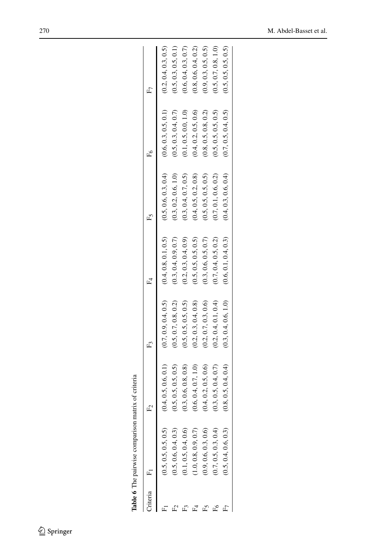<span id="page-13-0"></span>

| Iriteria | Ĺ                    |                      |                      |                      |                      |                      | م<br>تم              |
|----------|----------------------|----------------------|----------------------|----------------------|----------------------|----------------------|----------------------|
|          | (0.5, 0.5, 0.5, 0.5) | (0.4, 0.5, 0.6, 0.1) | (0.7, 0.9, 0.4, 0.5) | (0.4, 0.8, 0.1, 0.5) | (0.5, 0.6, 0.3, 0.4) | (0.6, 0.3, 0.5, 0.1) | (0.2, 0.4, 0.3, 0.5) |
|          | (0.5, 0.6, 0.4, 0.3) | (0.5, 0.5, 0.5, 0.5) | (0.5, 0.7, 0.8, 0.2) | (0.3, 0.4, 0.9, 0.7) | (0.3, 0.2, 0.6, 1.0) | (0.5, 0.3, 0.4, 0.7) | (0.5, 0.3, 0.5, 0.1) |
|          | (0.1, 0.5, 0.4, 0.6) | (0.3, 0.6, 0.8, 0.8) | (0.5, 0.5, 0.5, 0.5) | (0.2, 0.3, 0.4, 0.9) | (0.3, 0.4, 0.7, 0.5) | (0.1, 0.5, 0.0, 1.0) | (0.6, 0.4, 0.3, 0.7) |
|          | 1.0, 0.8, 0.9, 0.7   | (0.6, 0.4, 0.7, 1.0) | (0.2, 0.3, 0.4, 0.8) | (0.5, 0.5, 0.5, 0.5) | (0.4, 0.5, 0.2, 0.8) | (0.4, 0.2, 0.5, 0.6) | (0.8, 0.6, 0.4, 0.2) |
|          | (0.9, 0.6, 0.3, 0.6) | (0.4, 0.2, 0.5, 0.6) | (0.2, 0.7, 0.3, 0.6) | (0.3, 0.6, 0.5, 0.7) | (0.5, 0.5, 0.5, 0.5) | (0.8, 0.5, 0.8, 0.2) | (0.9, 0.3, 0.5, 0.5) |
|          | (0.7, 0.5, 0.3, 0.4) | (0.3, 0.5, 0.4, 0.7) | (0.2, 0.4, 0.1, 0.4) | (0.7, 0.4, 0.5, 0.2) | (0.7, 0.1, 0.6, 0.2) | (0.5, 0.5, 0.5, 0.5) | (0.5, 0.7, 0.8, 1.0) |
|          | (0.5, 0.4, 0.6, 0.3) | (0.8, 0.5, 0.4, 0.4) | (0.3, 0.4, 0.6, 1.0) | (0.6, 0.1, 0.4, 0.3) | (0.4, 0.3, 0.6, 0.4) | (0.7, 0.5, 0.4, 0.5) | (0.5, 0.5, 0.5, 0.5) |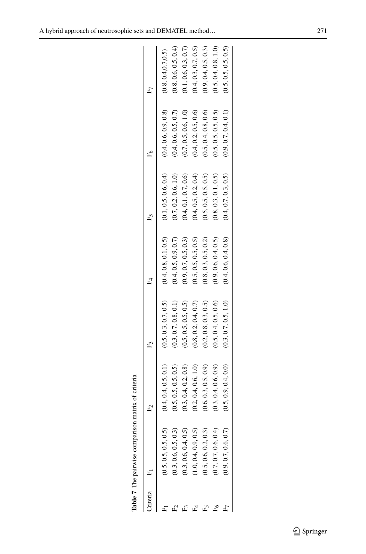<span id="page-14-0"></span>

| riteria | ć,                   |                      |                      |                      | ľ                    |                      | <sup>7</sup>         |
|---------|----------------------|----------------------|----------------------|----------------------|----------------------|----------------------|----------------------|
|         |                      |                      |                      |                      |                      |                      |                      |
|         | (0.5, 0.5, 0.5, 0.5) | (0.4, 0.4, 0.5, 0.1) | (0.5, 0.3, 0.7, 0.5) | (0.4, 0.8, 0.1, 0.5) | (0.1, 0.5, 0.6, 0.4) | (0.4, 0.6, 0.9, 0.8) | (0.8, 0.4, 0.7, 0.5) |
|         | (0.3, 0.6, 0.5, 0.3) | (0.5, 0.5, 0.5, 0.5) | (0.3, 0.7, 0.8, 0.1) | (0.4, 0.5, 0.9, 0.7) | (0.7, 0.2, 0.6, 1.0) | (0.4, 0.6, 0.5, 0.7) | (0.8, 0.6, 0.5, 0.4) |
|         | (0.3, 0.6, 0.4, 0.5) | (0.3, 0.4, 0.2, 0.8) | (0.5, 0.5, 0.5, 0.5) | (0.9, 0.7, 0.5, 0.3) | (0.4, 0.1, 0.7, 0.6) | (0.7, 0.5, 0.6, 1.0) | (0.1, 0.6, 0.3, 0.7) |
|         | (1.0, 0.4, 0.9, 0.5) | (0.2, 0.4, 0.6, 1.0) | (0.8, 0.2, 0.4, 0.7) | (0.5, 0.5, 0.5, 0.5) | (0.4, 0.5, 0.2, 0.4) | (0.4, 0.2, 0.5, 0.6) | (0.4, 0.3, 0.7, 0.5) |
|         | (0.5, 0.6, 0.2, 0.3) | (0.6, 0.3, 0.5, 0.9) | (0.2, 0.8, 0.3, 0.5) | (0.8, 0.3, 0.5, 0.2) | (0.5, 0.5, 0.5, 0.5) | (0.5, 0.4, 0.8, 0.6) | (0.9, 0.4, 0.5, 0.3) |
| £       | (0.7, 0.7, 0.6, 0.4) | (0.3, 0.4, 0.6, 0.9) | (0.5, 0.4, 0.5, 0.6) | (0.9, 0.6, 0.4, 0.5) | (0.8, 0.3, 0.1, 0.5) | (0.5, 0.5, 0.5, 0.5) | (0.5, 0.4, 0.8, 1.0) |
| Œ       | (0.9, 0.7, 0.6, 0.7) | (0.5, 0.9, 0.4, 0.0) | (0.3, 0.7, 0.5, 1.0) | (0.4, 0.6, 0.4, 0.8) | (0.4, 0.7, 0.3, 0.5) | (0.9, 0.7, 0.4, 0.1) | (0.5, 0.5, 0.5, 0.5) |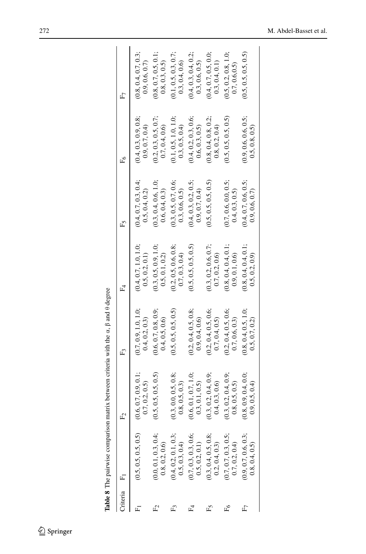| hiteria | Ē,                                     | Ŀ                                       | Ę                                     | $F_4$                                   | Ē٢                                     | Ě                                       | £7                                      |
|---------|----------------------------------------|-----------------------------------------|---------------------------------------|-----------------------------------------|----------------------------------------|-----------------------------------------|-----------------------------------------|
|         | (0.5, 0.5, 0.5, 0.5)                   | (0.6, 0.7, 0.9, 0.1;<br>0.7, 0.2, 0.5)  | (0.7, 0.9, 1.0, 1.0;<br>0.4, 0.2, 0.3 | (0.4, 0.7, 1.0, 1.0;<br>0.5, 0.2, 0.1)  | (0.4, 0.7, 0.3, 0.4;<br>0.5, 0.4, 0.2) | (0.4, 0.3, 0.9, 0.8;<br>(0.9, 0.7, 0.4) | (0.8, 0.4, 0.7, 0.3;<br>0.9, 0.6, 0.7)  |
|         | (0.0, 0.1, 0.3, 0.4;<br>0.8, 0.2, 0.6  | 0.5, 0.5, 0.5, 0.5)                     | (0.6, 0.7, 0.8, 0.9;<br>0.4, 0.5, 0.6 | (0.3, 0.5, 0.9, 1.0;<br>0.5, 0.1, 0.2)  | (0.3, 0.4, 0.6, 1.0;<br>0.6, 0.4, 0.3) | (0.2, 0.3, 0.5, 0.7;<br>0.7, 0.4, 0.6   | (0.8, 0.7, 0.5, 0.1;<br>0.8, 0.3, 0.5)  |
|         | (0.4, 0.2, 0.1, 0.3;<br>0.5, 0.3, 0.4  | (0.3, 0.0, 0.5, 0.8;<br>0.8, 0.5, 0.3)  | (0.5, 0.5, 0.5, 0.5)                  | (0.2, 0.5, 0.6, 0.8;<br>(0.7, 0.3, 0.4) | (0.3, 0.5, 0.7, 0.6;<br>0.3, 0.6, 0.5) | (0.1, 0.5, 1.0, 1.0;<br>(0.3, 0.5, 0.4) | (0.1, 0.5, 0.3, 0.7;<br>(0.3, 0.4, 0.6) |
|         | (0.7, 0.3, 0.3, 0.6;<br>0.5, 0.2, 0.1) | (0.6, 0.1, 0.7, 1.0;<br>(0.3, 0.1, 0.5) | (0.2, 0.4, 0.5, 0.8;<br>0.9, 0.4, 0.6 | (0.5, 0.5, 0.5, 0.5)                    | (0.4, 0.3, 0.2, 0.5;<br>0.9, 0.7, 0.4  | (0.4, 0.2, 0.3, 0.6;<br>0.6, 0.3, 0.5   | (0.4, 0.3, 0.4, 0.2;<br>(0.3, 0.6, 0.5) |
|         | (0.3, 0.4, 0.5, 0.8;<br>0.2, 0.4, 0.3) | (0.3, 0.2, 0.4, 0.9;<br>0.4, 0.3, 0.6   | (0.2, 0.4, 0.5, 0.6;<br>0.7, 0.4, 0.5 | (0.3, 0.2, 0.6, 0.7;<br>0.7, 0.2, 0.6   | (0.5, 0.5, 0.5, 0.5)                   | (0.8, 0.4, 0.8, 0.2;<br>0.8, 0.2, 0.4   | (0.4, 0.7, 0.5, 0.0;<br>(0.3, 0.4, 0.1) |
|         | (0.7, 0.7, 0.3, 0.5;<br>0.7, 0.2, 0.4  | (0.3, 0.2, 0.4, 0.9;<br>0.8, 0.5, 0.5)  | (0.2, 0.4, 0.5, 0.6;<br>0.7, 0.6, 0.3 | (0.8, 0.4, 0.4, 0.1;<br>0.9, 0.1, 0.6   | (0.7, 0.6, 0.0, 0.5;<br>0.4, 0.3, 0.5) | (0.5, 0.5, 0.5, 0.5)                    | (0.5, 0.2, 0.8, 1.0;<br>0.7, 0.6, 0.5)  |
|         | (0.9, 0.7, 0.6, 0.3;<br>0.8, 0.4, 0.5) | (0.8, 0.9, 0.4, 0.0;<br>(0.9, 0.5, 0.4) | (0.8, 0.4, 0.5, 1.0;<br>0.5, 0.7, 0.2 | (0.8, 0.4, 0.4, 0.1;<br>0.5, 0.2, 0.9)  | (0.4, 0.7, 0.6, 0.5;<br>0.9, 0.6, 0.7  | (0.9, 0.6, 0.6, 0.5;<br>0.5, 0.8, 0.5   | (0.5, 0.5, 0.5, 0.5)                    |
|         |                                        |                                         |                                       |                                         |                                        |                                         |                                         |

<span id="page-15-0"></span>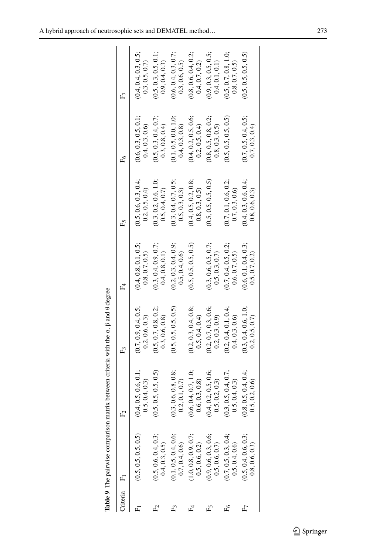|         | Table 9 The pairwise comparison        |                                       | matrix between criteria with the $\alpha$ , $\beta$ and $\theta$ degree |                                        |                                         |                                         |                                         |
|---------|----------------------------------------|---------------------------------------|-------------------------------------------------------------------------|----------------------------------------|-----------------------------------------|-----------------------------------------|-----------------------------------------|
| hiteria | $\overline{F}$                         | $F_2$                                 | £ĩ                                                                      | $F_4$                                  | Ĺ                                       | È۴                                      | F7                                      |
|         | (0.5, 0.5, 0.5, 0.5)                   | (0.4, 0.5, 0.6, 0.1;<br>0.5, 0.4, 0.3 | (0.7, 0.9, 0.4, 0.5;<br>0.2, 0.6, 0.3)                                  | (0.4, 0.8, 0.1, 0.5;<br>0.8, 0.7, 0.5) | (0.5, 0.6, 0.3, 0.4)<br>0.2, 0.5, 0.4   | (0.6, 0.3, 0.5, 0.1;<br>(0.4, 0.3, 0.6) | (0.4, 0.4, 0.3, 0.5;<br>(0.3, 0.5, 0.7) |
|         | (0.5, 0.6, 0.4, 0.3;<br>0.4, 0.3, 0.5  | (0.5, 0.5, 0.5, 0.5)                  | (0.5, 0.7, 0.8, 0.2;<br>0.3, 0.6, 0.8)                                  | (0.3, 0.4, 0.9, 0.7;<br>0.4, 0.8, 0.1) | (0.3, 0.2, 0.6, 1.0;<br>0.5, 0.4, 0.7)  | (0.5, 0.3, 0.4, 0.7;<br>(0.3, 0.8, 0.4) | (0.5, 0.3, 0.5, 0.1;<br>(0.9, 0.4, 0.3) |
|         | 0.1, 0.5, 0.4, 0.6;<br>0.7, 0.4, 0.6   | (0.3, 0.6, 0.8, 0.8;<br>0.2, 0.1, 0.7 | (0.5, 0.5, 0.5, 0.5)                                                    | (0.2, 0.3, 0.4, 0.9;<br>0.5, 0.4, 0.6  | (0.3, 0.4, 0.7, 0.5;<br>0.5, 0.3, 0.3)  | (0.1, 0.5, 0.0, 1.0,<br>0.4, 0.3, 0.8)  | (0.6, 0.4, 0.3, 0.7;<br>0.3, 0.6, 0.5)  |
|         | 1.0, 0.8, 0.9, 0.7;<br>0.5, 0.6, 0.2   | (0.6, 0.4, 0.7, 1.0;<br>0.6, 0.3, 0.8 | (0.2, 0.3, 0.4, 0.8;<br>0.5, 0.4, 0.4)                                  | (0.5, 0.5, 0.5, 0.5)                   | (0.4, 0.5, 0.2, 0.8;<br>(0.8, 0.3, 0.5) | (0.4, 0.2, 0.5, 0.6;<br>0.2, 0.5, 0.4)  | (0.8, 0.6, 0.4, 0.2;<br>0.4, 0.7, 0.2)  |
|         | (0.9, 0.6, 0.3, 0.6;<br>0.5, 0.6, 0.7  | (0.4, 0.2, 0.5, 0.6;<br>0.5, 0.2, 0.3 | (0.2, 0.7, 0.3, 0.6;<br>0.2, 0.3, 0.9)                                  | (0.3, 0.6, 0.5, 0.7;<br>0.5, 0.3, 0.7  | (0.5, 0.5, 0.5, 0.5)                    | (0.8, 0.5, 0.8, 0.2;<br>0.8, 0.3, 0.5)  | (0.9, 0.3, 0.5, 0.5;<br>0.4, 0.1, 0.1)  |
|         | (0.7, 0.5, 0.3, 0.4)<br>0.5, 0.4, 0.6  | (0.3, 0.5, 0.4, 0.7;<br>0.5, 0.4, 0.3 | (0.2, 0.4, 0.1, 0.4)<br>0.4, 0.3, 0.6                                   | (0.7, 0.4, 0.5, 0.2;<br>0.6, 0.7, 0.5) | (0.7, 0.1, 0.6, 0.2;<br>0.7, 0.3, 0.6   | (0.5, 0.5, 0.5, 0.5)                    | (0.5, 0.7, 0.8, 1.0;<br>0.8, 0.7, 0.5)  |
|         | (0.5, 0.4, 0.6, 0.3;<br>0.8, 0.6, 0.3) | (0.8, 0.5, 0.4, 0.4;<br>0.5, 0.2, 0.6 | (0.3, 0.4, 0.6, 1.0;<br>0.2, 0.5, 0.7                                   | (0.6, 0.1, 0.4, 0.3;<br>0.5, 0.7, 0.2) | (0.4, 0.3, 0.6, 0.4;<br>0.8, 0.6, 0.3)  | (0.7, 0.5, 0.4, 0.5;<br>0.7, 0.3, 0.4   | (0.5, 0.5, 0.5, 0.5)                    |
|         |                                        |                                       |                                                                         |                                        |                                         |                                         |                                         |

<span id="page-16-0"></span>Table 9 The pairwise comparison matrix between criteria with the  $\alpha$ ,  $\beta$  and  $\theta$  degree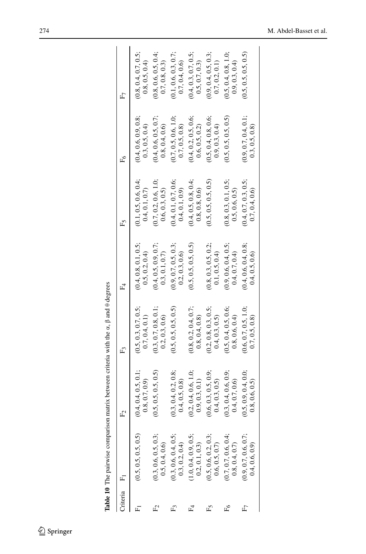| riteria | E.                   |                      | £ĩ                   | $F_4$                | Ě5                   | Ě                    | F7                   |
|---------|----------------------|----------------------|----------------------|----------------------|----------------------|----------------------|----------------------|
|         |                      |                      |                      |                      |                      |                      |                      |
|         | (0.5, 0.5, 0.5, 0.5) | (0.4, 0.4, 0.5, 0.1; | (0.5, 0.3, 0.7, 0.5; | (0.4, 0.8, 0.1, 0.5; | (0.1, 0.5, 0.6, 0.4; | (0.4, 0.6, 0.9, 0.8; | (0.8, 0.4, 0.7, 0.5; |
|         |                      | (0.8, 0.7, 0.9)      | (0.7, 0.4, 0.1)      | 0.5, 0.2, 0.4)       | 0.4, 0.1, 0.7        | 0.3, 0.5, 0.4)       | (0.8, 0.5, 0.4)      |
|         | (0.3, 0.6, 0.5, 0.3; | (0.5, 0.5, 0.5, 0.5) | (0.3, 0.7, 0.8, 0.1; | (0.4, 0.5, 0.9, 0.7; | (0.7, 0.2, 0.6, 1.0; | (0.4, 0.6, 0.5, 0.7; | (0.8, 0.6, 0.5, 0.4; |
|         | 0.5, 0.4, 0.6        |                      | 0.2, 0.3, 0.6        | (0.3, 0.1, 0.7)      | 0.6, 0.3, 0.5)       | 0.8, 0.4, 0.6        | 0.7, 0.8, 0.3)       |
|         | (0.3, 0.6, 0.4, 0.5; | (0.3, 0.4, 0.2, 0.8; | (0.5, 0.5, 0.5, 0.5) | (0.9, 0.7, 0.5, 0.3; | (0.4, 0.1, 0.7, 0.6; | (0.7, 0.5, 0.6, 1.0; | (0.1, 0.6, 0.3, 0.7; |
|         | 0.3, 0.2, 0.4        | 0.4, 0.5, 0.8        |                      | 0.2, 0.3, 0.6        | 0.4, 0.1, 0.9)       | 0.7, 0.5, 0.8        | 0.7, 0.4, 0.6        |
|         | (1.0, 0.4, 0.9, 0.5; | (0.2, 0.4, 0.6, 1.0; | (0.8, 0.2, 0.4, 0.7; | (0.5, 0.5, 0.5, 0.5) | (0.4, 0.5, 0.8, 0.4; | (0.4, 0.2, 0.5, 0.6; | (0.4, 0.3, 0.7, 0.5; |
|         | 0.2, 0.1, 0.3        | (0.9, 0.3, 0.1)      | 0.8, 0.4, 0.8)       |                      | 0.8, 0.8, 0.6        | 0.6, 0.5, 0.2)       | (0.5, 0.7, 0.3)      |
|         | (0.5, 0.6, 0.2, 0.3; | (0.6, 0.3, 0.5, 0.9; | (0.2, 0.8, 0.3, 0.5; | (0.8, 0.3, 0.5, 0.2; | (0.5, 0.5, 0.5, 0.5) | (0.5, 0.4, 0.8, 0.6; | (0.9, 0.4, 0.5, 0.3; |
|         | 0.6, 0.5, 0.7        | 0.4, 0.3, 0.5        | 0.4, 0.3, 0.5)       | 0.1, 0.5, 0.4        |                      | 0.9, 0.3, 0.4        | (0.7, 0.2, 0.1)      |
|         | (0.7, 0.7, 0.6, 0.4; | (0.3, 0.4, 0.6, 0.9; | (0.5, 0.4, 0.5, 0.6; | (0.9, 0.6, 0.4, 0.5; | (0.8, 0.3, 0.1, 0.5; | (0.5, 0.5, 0.5, 0.5) | (0.5, 0.4, 0.8, 1.0; |
|         | 0.8, 0.4, 0.7        | 0.4, 0.7, 0.6        | 0.8, 0.6, 0.4)       | 0.4, 0.7, 0.4)       | 0.5, 0.6, 0.5)       |                      | (0.9, 0.3, 0.4)      |
|         | (0.9, 0.7, 0.6, 0.7; | (0.5, 0.9, 0.4, 0.0; | (0.6, 0.7, 0.5, 1.0; | (0.4, 0.6, 0.4, 0.8; | (0.4, 0.7, 0.3, 0.5; | (0.9, 0.7, 0.4, 0.1; | (0.5, 0.5, 0.5, 0.5) |
|         | 0.4, 0.6, 0.9)       | 0.8, 0.6, 0.5        | 0.7, 0.5, 0.8        | 0.4, 0.5, 0.6        | 0.7, 0.4, 0.6        | 0.3, 0.5, 0.8        |                      |
|         |                      |                      |                      |                      |                      |                      |                      |

<span id="page-17-0"></span>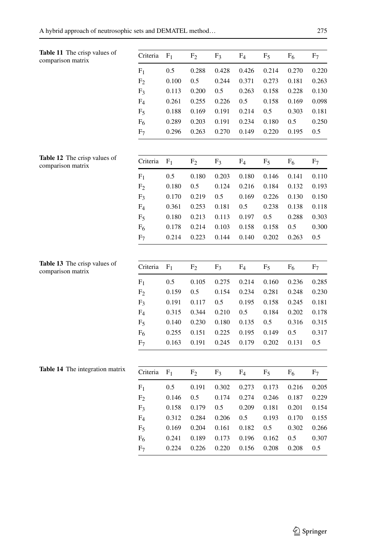<span id="page-18-1"></span><span id="page-18-0"></span>

| Table 11 The crisp values of<br>comparison matrix | Criteria       | F <sub>1</sub> | F <sub>2</sub> | F <sub>3</sub> | $F_4$          | F <sub>5</sub> | F <sub>6</sub> | F <sub>7</sub> |
|---------------------------------------------------|----------------|----------------|----------------|----------------|----------------|----------------|----------------|----------------|
|                                                   | $F_1$          | 0.5            | 0.288          | 0.428          | 0.426          | 0.214          | 0.270          | 0.220          |
|                                                   | F <sub>2</sub> | 0.100          | 0.5            | 0.244          | 0.371          | 0.273          | 0.181          | 0.263          |
|                                                   | F <sub>3</sub> | 0.113          | 0.200          | 0.5            | 0.263          | 0.158          | 0.228          | 0.130          |
|                                                   | $F_4$          | 0.261          | 0.255          | 0.226          | 0.5            | 0.158          | 0.169          | 0.098          |
|                                                   | F <sub>5</sub> | 0.188          | 0.169          | 0.191          | 0.214          | 0.5            | 0.303          | 0.181          |
|                                                   | $F_6$          | 0.289          | 0.203          | 0.191          | 0.234          | 0.180          | 0.5            | 0.250          |
|                                                   | F <sub>7</sub> | 0.296          | 0.263          | 0.270          | 0.149          | 0.220          | 0.195          | 0.5            |
| Table 12 The crisp values of                      | Criteria       | F <sub>1</sub> | F <sub>2</sub> | F <sub>3</sub> | F <sub>4</sub> |                | F <sub>6</sub> | F <sub>7</sub> |
| comparison matrix                                 |                |                |                |                |                | $F_5$          |                |                |
|                                                   | F <sub>1</sub> | 0.5            | 0.180          | 0.203          | 0.180          | 0.146          | 0.141          | 0.110          |
|                                                   | F <sub>2</sub> | 0.180          | 0.5            | 0.124          | 0.216          | 0.184          | 0.132          | 0.193          |
|                                                   | F <sub>3</sub> | 0.170          | 0.219          | 0.5            | 0.169          | 0.226          | 0.130          | 0.150          |
|                                                   | $F_4$          | 0.361          | 0.253          | 0.181          | 0.5            | 0.238          | 0.138          | 0.118          |
|                                                   | F <sub>5</sub> | 0.180          | 0.213          | 0.113          | 0.197          | $0.5\,$        | 0.288          | 0.303          |
|                                                   | $F_6$          | 0.178          | 0.214          | 0.103          | 0.158          | 0.158          | 0.5            | 0.300          |
|                                                   | F <sub>7</sub> | 0.214          | 0.223          | 0.144          | 0.140          | 0.202          | 0.263          | 0.5            |
| Table 13 The crisp values of<br>comparison matrix | Criteria       | F <sub>1</sub> | F <sub>2</sub> | F <sub>3</sub> | F <sub>4</sub> | F <sub>5</sub> | F <sub>6</sub> | F <sub>7</sub> |
|                                                   | F <sub>1</sub> | 0.5            | 0.105          | 0.275          | 0.214          | 0.160          | 0.236          | 0.285          |
|                                                   | F <sub>2</sub> | 0.159          | 0.5            | 0.154          | 0.234          | 0.281          | 0.248          | 0.230          |
|                                                   | F <sub>3</sub> | 0.191          | 0.117          | 0.5            | 0.195          | 0.158          | 0.245          | 0.181          |
|                                                   | F <sub>4</sub> | 0.315          | 0.344          | 0.210          | 0.5            | 0.184          | 0.202          | 0.178          |
|                                                   | $F_5$          | 0.140          | 0.230          | 0.180          | 0.135          | 0.5            | 0.316          | 0.315          |
|                                                   | $F_6$          | 0.255          | 0.151          | 0.225          | 0.195          | 0.149          | 0.5            | 0.317          |
|                                                   | F <sub>7</sub> | 0.163          | 0.191          | 0.245          | 0.179          | 0.202          | 0.131          | 0.5            |
| Table 14 The integration matrix                   | Criteria       | F <sub>1</sub> | F <sub>2</sub> | F <sub>3</sub> | F <sub>4</sub> | F <sub>5</sub> | $F_6$          | F <sub>7</sub> |
|                                                   |                |                |                |                |                |                |                |                |
|                                                   | $F_1$          | 0.5            | 0.191          | 0.302          | 0.273          | 0.173          | 0.216          | 0.205          |
|                                                   | F <sub>2</sub> | 0.146          | 0.5            | 0.174          | 0.274          | 0.246          | 0.187          | 0.229          |

<span id="page-18-3"></span><span id="page-18-2"></span> $F_3$  0.158 0.179 0.5 0.209 0.181 0.201 0.154 F4 0.312 0.284 0.206 0.5 0.193 0.170 0.155 F5 0.169 0.204 0.161 0.182 0.5 0.302 0.266 F6 0.241 0.189 0.173 0.196 0.162 0.5 0.307 F7 0.224 0.226 0.220 0.156 0.208 0.208 0.5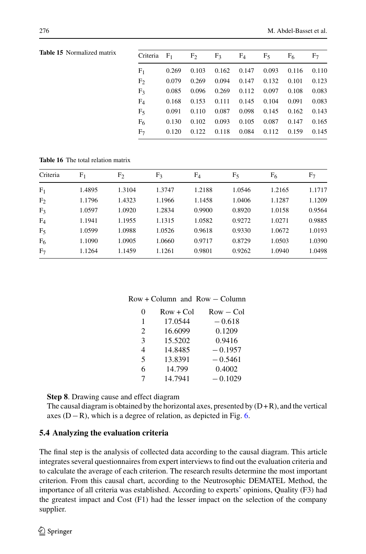| Criteria $F_1$ $F_2$ $F_3$ $F_4$ $F_5$ $F_6$ $F_7$ |       |  |                                                         |  |  |
|----------------------------------------------------|-------|--|---------------------------------------------------------|--|--|
| $F_1$                                              |       |  | $0.269$ $0.103$ $0.162$ $0.147$ $0.093$ $0.116$ $0.110$ |  |  |
| F <sub>2</sub>                                     |       |  | 0.079 0.269 0.094 0.147 0.132 0.101 0.123               |  |  |
| $F_3$                                              |       |  | 0.085 0.096 0.269 0.112 0.097 0.108 0.083               |  |  |
| $F_4$                                              |       |  | 0.168 0.153 0.111 0.145 0.104 0.091 0.083               |  |  |
| F <sub>5</sub>                                     |       |  | 0.091 0.110 0.087 0.098 0.145 0.162 0.143               |  |  |
| F <sub>6</sub>                                     | 0.130 |  | 0.102 0.093 0.105 0.087 0.147 0.165                     |  |  |
| F <sub>7</sub>                                     |       |  | 0.120 0.122 0.118 0.084 0.112 0.159 0.145               |  |  |

<span id="page-19-1"></span>**Table 16** The total relation matrix

<span id="page-19-0"></span>**Table 15** Normalized matrix

| Criteria       | F <sub>1</sub> | F <sub>2</sub> | $F_3$  | $F_4$  | $F_5$  | F <sub>6</sub> | F <sub>7</sub> |
|----------------|----------------|----------------|--------|--------|--------|----------------|----------------|
| F <sub>1</sub> | 1.4895         | 1.3104         | 1.3747 | 1.2188 | 1.0546 | 1.2165         | 1.1717         |
| F <sub>2</sub> | 1.1796         | 1.4323         | 1.1966 | 1.1458 | 1.0406 | 1.1287         | 1.1209         |
| F <sub>3</sub> | 1.0597         | 1.0920         | 1.2834 | 0.9900 | 0.8920 | 1.0158         | 0.9564         |
| $F_4$          | 1.1941         | 1.1955         | 1.1315 | 1.0582 | 0.9272 | 1.0271         | 0.9885         |
| F <sub>5</sub> | 1.0599         | 1.0988         | 1.0526 | 0.9618 | 0.9330 | 1.0672         | 1.0193         |
| F <sub>6</sub> | 1.1090         | 1.0905         | 1.0660 | 0.9717 | 0.8729 | 1.0503         | 1.0390         |
| F <sub>7</sub> | 1.1264         | 1.1459         | 1.1261 | 0.9801 | 0.9262 | 1.0940         | 1.0498         |

#### Row + Column and Row − Column

| $\theta$ | $Row + Col$ | $Row - Col$ |
|----------|-------------|-------------|
| 1        | 17.0544     | $-0.618$    |
| 2        | 16.6099     | 0.1209      |
| 3        | 15.5202     | 0.9416      |
| 4        | 14.8485     | $-0.1957$   |
| 5        | 13.8391     | $-0.5461$   |
| 6        | 14.799      | 0.4002      |
| 7        | 14.7941     | $-0.1029$   |
|          |             |             |

**Step 8**. Drawing cause and effect diagram

The causal diagram is obtained by the horizontal axes, presented by  $(D+R)$ , and the vertical axes (D−R), which is a degree of relation, as depicted in Fig. [6.](#page-20-11)

#### **5.4 Analyzing the evaluation criteria**

The final step is the analysis of collected data according to the causal diagram. This article integrates several questionnaires from expert interviews to find out the evaluation criteria and to calculate the average of each criterion. The research results determine the most important criterion. From this causal chart, according to the Neutrosophic DEMATEL Method, the importance of all criteria was established. According to experts' opinions, Quality (F3) had the greatest impact and Cost (F1) had the lesser impact on the selection of the company supplier.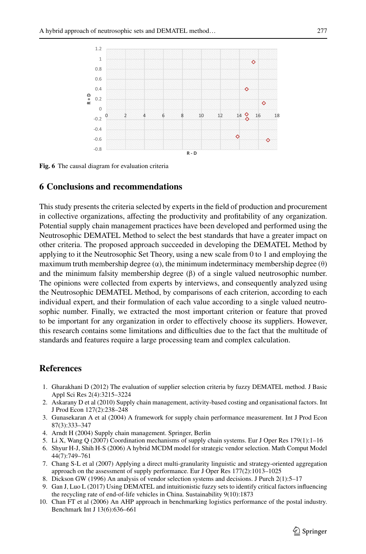

<span id="page-20-11"></span>**Fig. 6** The causal diagram for evaluation criteria

### <span id="page-20-10"></span>**6 Conclusions and recommendations**

This study presents the criteria selected by experts in the field of production and procurement in collective organizations, affecting the productivity and profitability of any organization. Potential supply chain management practices have been developed and performed using the Neutrosophic DEMATEL Method to select the best standards that have a greater impact on other criteria. The proposed approach succeeded in developing the DEMATEL Method by applying to it the Neutrosophic Set Theory, using a new scale from 0 to 1 and employing the maximum truth membership degree  $(\alpha)$ , the minimum indeterminacy membership degree  $(\theta)$ and the minimum falsity membership degree  $(\beta)$  of a single valued neutrosophic number. The opinions were collected from experts by interviews, and consequently analyzed using the Neutrosophic DEMATEL Method, by comparisons of each criterion, according to each individual expert, and their formulation of each value according to a single valued neutrosophic number. Finally, we extracted the most important criterion or feature that proved to be important for any organization in order to effectively choose its suppliers. However, this research contains some limitations and difficulties due to the fact that the multitude of standards and features require a large processing team and complex calculation.

### **References**

- <span id="page-20-0"></span>1. Gharakhani D (2012) The evaluation of supplier selection criteria by fuzzy DEMATEL method. J Basic Appl Sci Res 2(4):3215–3224
- <span id="page-20-1"></span>2. Askarany D et al (2010) Supply chain management, activity-based costing and organisational factors. Int J Prod Econ 127(2):238–248
- <span id="page-20-2"></span>3. Gunasekaran A et al (2004) A framework for supply chain performance measurement. Int J Prod Econ 87(3):333–347
- <span id="page-20-3"></span>4. Arndt H (2004) Supply chain management. Springer, Berlin
- <span id="page-20-4"></span>5. Li X, Wang Q (2007) Coordination mechanisms of supply chain systems. Eur J Oper Res 179(1):1–16
- <span id="page-20-5"></span>6. Shyur H-J, Shih H-S (2006) A hybrid MCDM model for strategic vendor selection. Math Comput Model 44(7):749–761
- <span id="page-20-6"></span>7. Chang S-L et al (2007) Applying a direct multi-granularity linguistic and strategy-oriented aggregation approach on the assessment of supply performance. Eur J Oper Res 177(2):1013–1025
- <span id="page-20-7"></span>8. Dickson GW (1996) An analysis of vendor selection systems and decisions. J Purch 2(1):5–17
- <span id="page-20-8"></span>9. Gan J, Luo L (2017) Using DEMATEL and intuitionistic fuzzy sets to identify critical factors influencing the recycling rate of end-of-life vehicles in China. Sustainability 9(10):1873
- <span id="page-20-9"></span>10. Chan FT et al (2006) An AHP approach in benchmarking logistics performance of the postal industry. Benchmark Int J 13(6):636–661